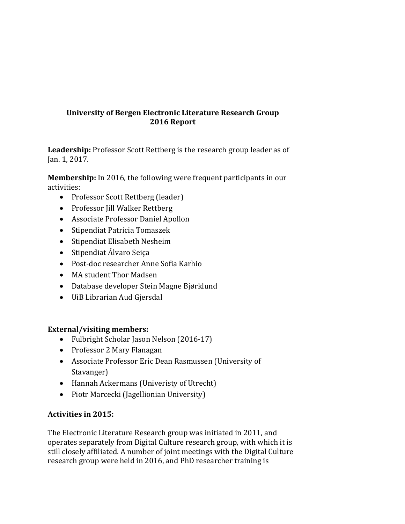# **University of Bergen Electronic Literature Research Group 2016 Report**

**Leadership:** Professor Scott Rettberg is the research group leader as of Jan. 1, 2017.

**Membership:** In 2016, the following were frequent participants in our activities:

- Professor Scott Rettberg (leader)
- Professor Jill Walker Rettberg
- Associate Professor Daniel Apollon
- Stipendiat Patricia Tomaszek
- Stipendiat Elisabeth Nesheim
- Stipendiat Álvaro Seiça
- Post-doc researcher Anne Sofia Karhio
- MA student Thor Madsen
- Database developer Stein Magne Bjørklund
- UiB Librarian Aud Gjersdal

## **External/visiting members:**

- Fulbright Scholar Jason Nelson (2016-17)
- Professor 2 Mary Flanagan
- Associate Professor Eric Dean Rasmussen (University of Stavanger)
- Hannah Ackermans (Univeristy of Utrecht)
- Piotr Marcecki (Jagellionian University)

# Activities in 2015:

The Electronic Literature Research group was initiated in 2011, and operates separately from Digital Culture research group, with which it is still closely affiliated. A number of joint meetings with the Digital Culture research group were held in 2016, and PhD researcher training is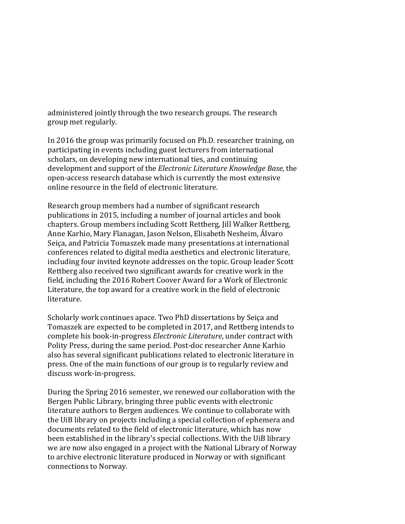administered jointly through the two research groups. The research group met regularly.

In 2016 the group was primarily focused on Ph.D. researcher training, on participating in events including guest lecturers from international scholars, on developing new international ties, and continuing development and support of the *Electronic Literature Knowledge Base*, the open-access research database which is currently the most extensive online resource in the field of electronic literature.

Research group members had a number of significant research publications in 2015, including a number of journal articles and book chapters. Group members including Scott Rettberg, Jill Walker Rettberg, Anne Karhio, Mary Flanagan, Jason Nelson, Elisabeth Nesheim, Álvaro Seiça, and Patricia Tomaszek made many presentations at international conferences related to digital media aesthetics and electronic literature, including four invited keynote addresses on the topic. Group leader Scott Rettberg also received two significant awards for creative work in the field, including the 2016 Robert Coover Award for a Work of Electronic Literature, the top award for a creative work in the field of electronic literature.

Scholarly work continues apace. Two PhD dissertations by Seiça and Tomaszek are expected to be completed in 2017, and Rettberg intends to complete his book-in-progress *Electronic Literature*, under contract with Polity Press, during the same period. Post-doc researcher Anne Karhio also has several significant publications related to electronic literature in press. One of the main functions of our group is to regularly review and discuss work-in-progress.

During the Spring 2016 semester, we renewed our collaboration with the Bergen Public Library, bringing three public events with electronic literature authors to Bergen audiences. We continue to collaborate with the UiB library on projects including a special collection of ephemera and documents related to the field of electronic literature, which has now been established in the library's special collections. With the UiB library we are now also engaged in a project with the National Library of Norway to archive electronic literature produced in Norway or with significant connections to Norway.